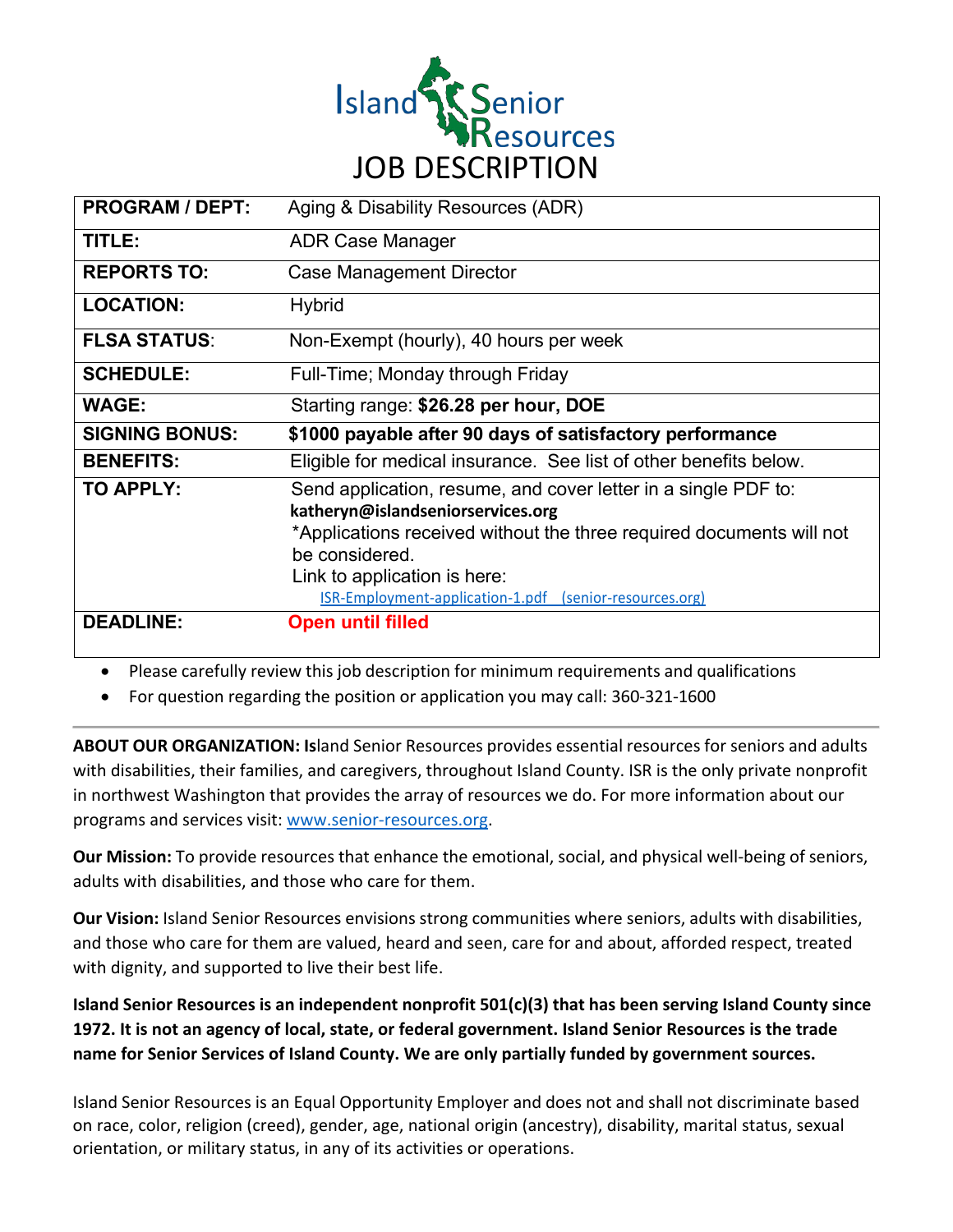

| <b>PROGRAM / DEPT:</b> | Aging & Disability Resources (ADR)                                                                                                                                                                                                                                                       |
|------------------------|------------------------------------------------------------------------------------------------------------------------------------------------------------------------------------------------------------------------------------------------------------------------------------------|
| TITLE:                 | <b>ADR Case Manager</b>                                                                                                                                                                                                                                                                  |
| <b>REPORTS TO:</b>     | Case Management Director                                                                                                                                                                                                                                                                 |
| <b>LOCATION:</b>       | <b>Hybrid</b>                                                                                                                                                                                                                                                                            |
| <b>FLSA STATUS:</b>    | Non-Exempt (hourly), 40 hours per week                                                                                                                                                                                                                                                   |
| <b>SCHEDULE:</b>       | Full-Time; Monday through Friday                                                                                                                                                                                                                                                         |
| <b>WAGE:</b>           | Starting range: \$26.28 per hour, DOE                                                                                                                                                                                                                                                    |
| <b>SIGNING BONUS:</b>  | \$1000 payable after 90 days of satisfactory performance                                                                                                                                                                                                                                 |
|                        |                                                                                                                                                                                                                                                                                          |
| <b>BENEFITS:</b>       | Eligible for medical insurance. See list of other benefits below.                                                                                                                                                                                                                        |
| <b>TO APPLY:</b>       | Send application, resume, and cover letter in a single PDF to:<br>katheryn@islandseniorservices.org<br>*Applications received without the three required documents will not<br>be considered.<br>Link to application is here:<br>ISR-Employment-application-1.pdf (senior-resources.org) |

• Please carefully review this job description for minimum requirements and qualifications

• For question regarding the position or application you may call: 360-321-1600

**ABOUT OUR ORGANIZATION: Is**land Senior Resources provides essential resources for seniors and adults with disabilities, their families, and caregivers, throughout Island County. ISR is the only private nonprofit in northwest Washington that provides the array of resources we do. For more information about our programs and services visit: www.senior-resources.org.

**Our Mission:** To provide resources that enhance the emotional, social, and physical well-being of seniors, adults with disabilities, and those who care for them.

**Our Vision:** Island Senior Resources envisions strong communities where seniors, adults with disabilities, and those who care for them are valued, heard and seen, care for and about, afforded respect, treated with dignity, and supported to live their best life.

**Island Senior Resources is an independent nonprofit 501(c)(3) that has been serving Island County since 1972. It is not an agency of local, state, or federal government. Island Senior Resources is the trade name for Senior Services of Island County. We are only partially funded by government sources.**

Island Senior Resources is an Equal Opportunity Employer and does not and shall not discriminate based on race, color, religion (creed), gender, age, national origin (ancestry), disability, marital status, sexual orientation, or military status, in any of its activities or operations.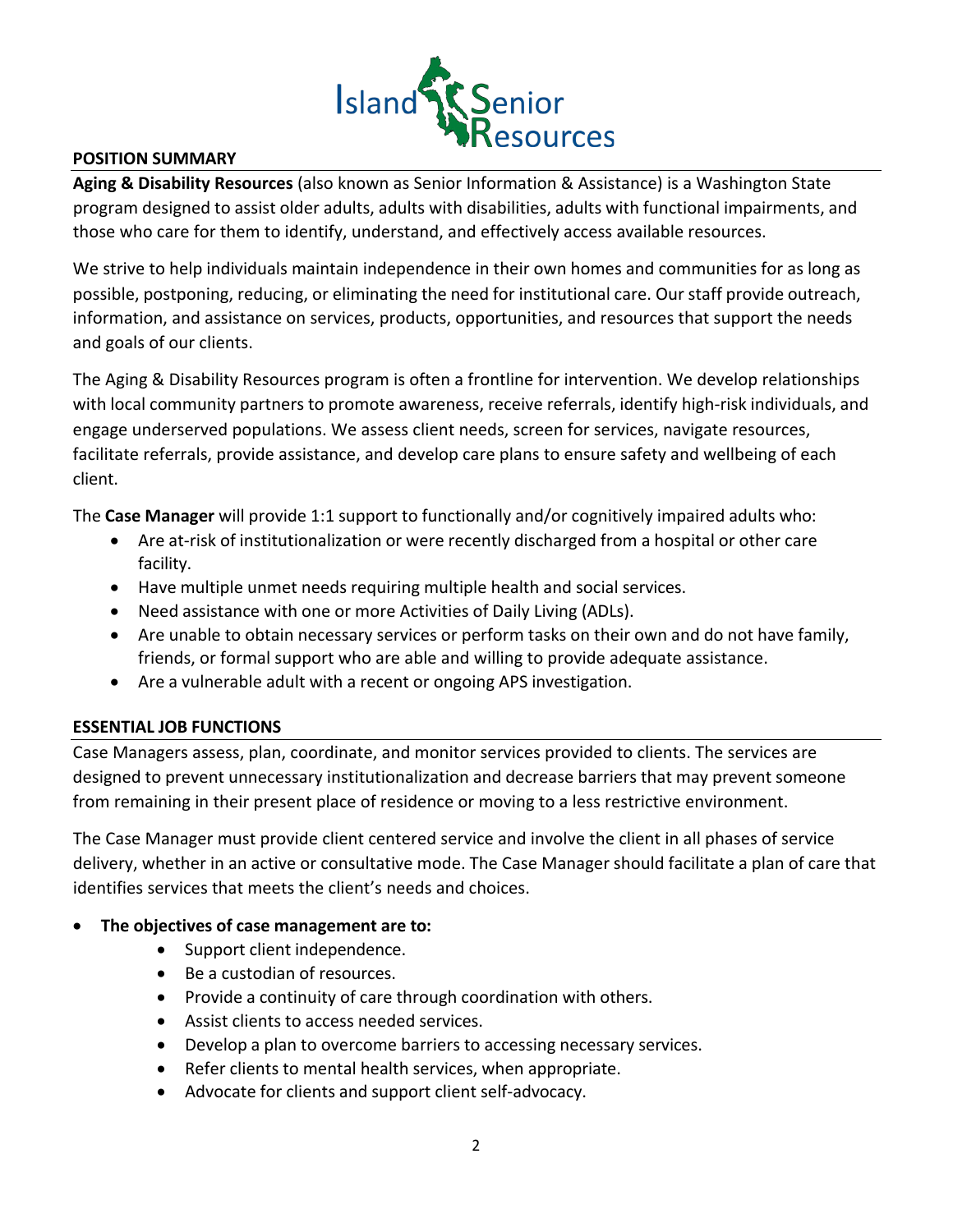

## **POSITION SUMMARY**

**Aging & Disability Resources** (also known as Senior Information & Assistance) is a Washington State program designed to assist older adults, adults with disabilities, adults with functional impairments, and those who care for them to identify, understand, and effectively access available resources.

We strive to help individuals maintain independence in their own homes and communities for as long as possible, postponing, reducing, or eliminating the need for institutional care. Our staff provide outreach, information, and assistance on services, products, opportunities, and resources that support the needs and goals of our clients.

The Aging & Disability Resources program is often a frontline for intervention. We develop relationships with local community partners to promote awareness, receive referrals, identify high-risk individuals, and engage underserved populations. We assess client needs, screen for services, navigate resources, facilitate referrals, provide assistance, and develop care plans to ensure safety and wellbeing of each client.

The **Case Manager** will provide 1:1 support to functionally and/or cognitively impaired adults who:

- Are at-risk of institutionalization or were recently discharged from a hospital or other care facility.
- Have multiple unmet needs requiring multiple health and social services.
- Need assistance with one or more Activities of Daily Living (ADLs).
- Are unable to obtain necessary services or perform tasks on their own and do not have family, friends, or formal support who are able and willing to provide adequate assistance.
- Are a vulnerable adult with a recent or ongoing APS investigation.

#### **ESSENTIAL JOB FUNCTIONS**

Case Managers assess, plan, coordinate, and monitor services provided to clients. The services are designed to prevent unnecessary institutionalization and decrease barriers that may prevent someone from remaining in their present place of residence or moving to a less restrictive environment.

The Case Manager must provide client centered service and involve the client in all phases of service delivery, whether in an active or consultative mode. The Case Manager should facilitate a plan of care that identifies services that meets the client's needs and choices.

#### • **The objectives of case management are to:**

- Support client independence.
- Be a custodian of resources.
- Provide a continuity of care through coordination with others.
- Assist clients to access needed services.
- Develop a plan to overcome barriers to accessing necessary services.
- Refer clients to mental health services, when appropriate.
- Advocate for clients and support client self-advocacy.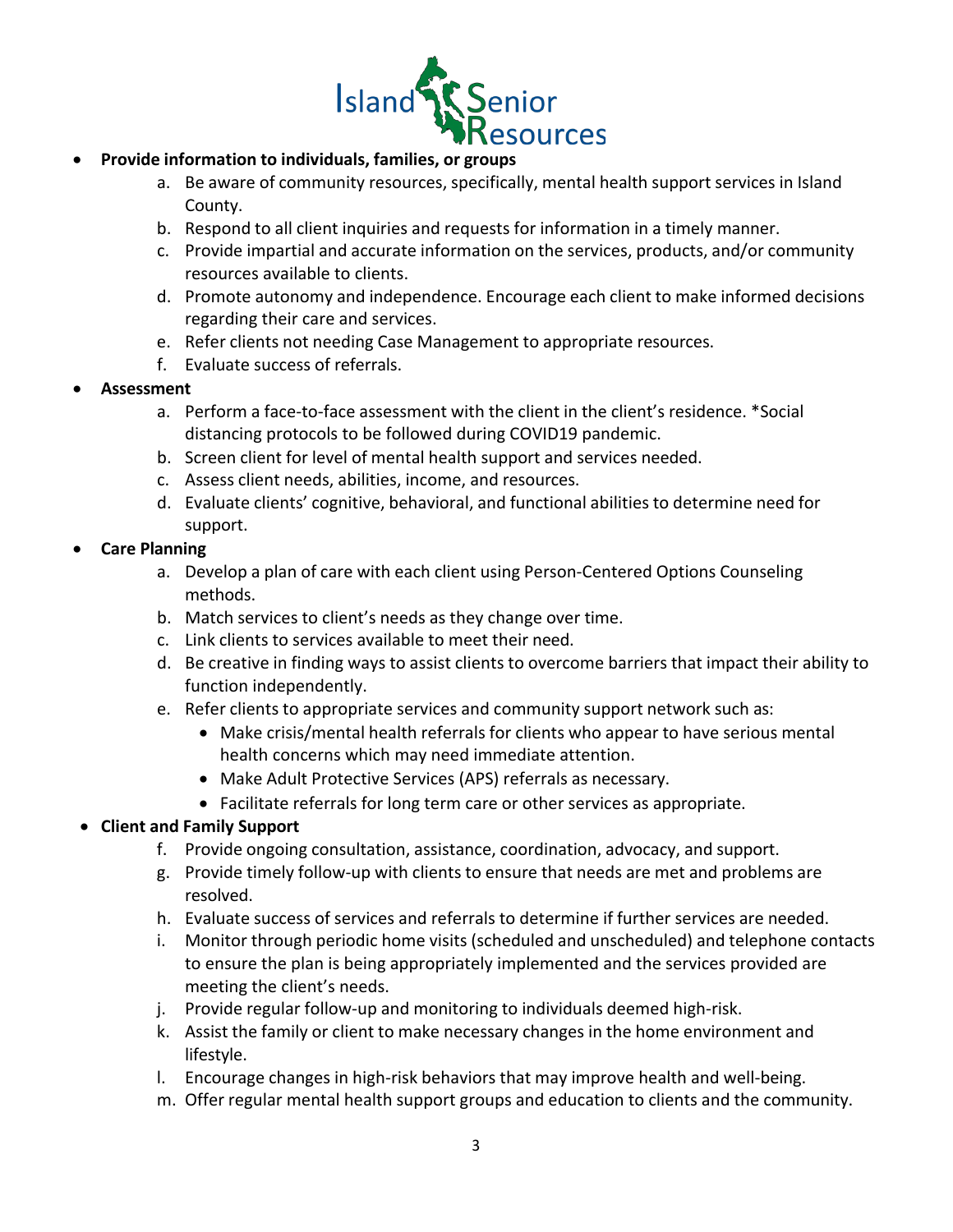

## • **Provide information to individuals, families, or groups**

- a. Be aware of community resources, specifically, mental health support services in Island County.
- b. Respond to all client inquiries and requests for information in a timely manner.
- c. Provide impartial and accurate information on the services, products, and/or community resources available to clients.
- d. Promote autonomy and independence. Encourage each client to make informed decisions regarding their care and services.
- e. Refer clients not needing Case Management to appropriate resources.
- f. Evaluate success of referrals.

#### • **Assessment**

- a. Perform a face-to-face assessment with the client in the client's residence. \*Social distancing protocols to be followed during COVID19 pandemic.
- b. Screen client for level of mental health support and services needed.
- c. Assess client needs, abilities, income, and resources.
- d. Evaluate clients' cognitive, behavioral, and functional abilities to determine need for support.

## • **Care Planning**

- a. Develop a plan of care with each client using Person-Centered Options Counseling methods.
- b. Match services to client's needs as they change over time.
- c. Link clients to services available to meet their need.
- d. Be creative in finding ways to assist clients to overcome barriers that impact their ability to function independently.
- e. Refer clients to appropriate services and community support network such as:
	- Make crisis/mental health referrals for clients who appear to have serious mental health concerns which may need immediate attention.
	- Make Adult Protective Services (APS) referrals as necessary.
	- Facilitate referrals for long term care or other services as appropriate.

# • **Client and Family Support**

- f. Provide ongoing consultation, assistance, coordination, advocacy, and support.
- g. Provide timely follow-up with clients to ensure that needs are met and problems are resolved.
- h. Evaluate success of services and referrals to determine if further services are needed.
- i. Monitor through periodic home visits (scheduled and unscheduled) and telephone contacts to ensure the plan is being appropriately implemented and the services provided are meeting the client's needs.
- j. Provide regular follow-up and monitoring to individuals deemed high-risk.
- k. Assist the family or client to make necessary changes in the home environment and lifestyle.
- l. Encourage changes in high-risk behaviors that may improve health and well-being.
- m. Offer regular mental health support groups and education to clients and the community.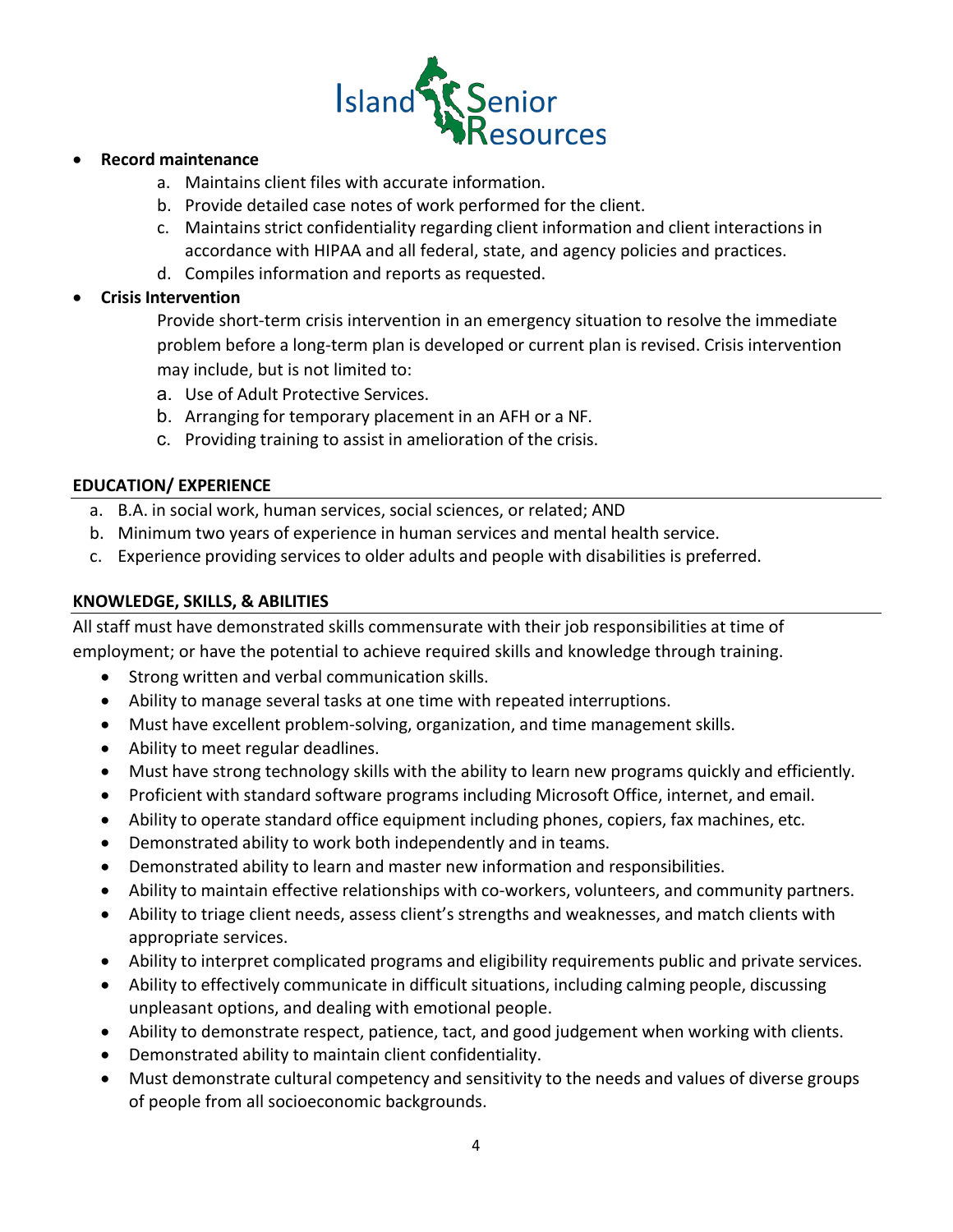

## • **Record maintenance**

- a. Maintains client files with accurate information.
- b. Provide detailed case notes of work performed for the client.
- c. Maintains strict confidentiality regarding client information and client interactions in accordance with HIPAA and all federal, state, and agency policies and practices.
- d. Compiles information and reports as requested.

# • **Crisis Intervention**

Provide short-term crisis intervention in an emergency situation to resolve the immediate problem before a long-term plan is developed or current plan is revised. Crisis intervention may include, but is not limited to:

- a. Use of Adult Protective Services.
- b. Arranging for temporary placement in an AFH or a NF.
- c. Providing training to assist in amelioration of the crisis.

## **EDUCATION/ EXPERIENCE**

- a. B.A. in social work, human services, social sciences, or related; AND
- b. Minimum two years of experience in human services and mental health service.
- c. Experience providing services to older adults and people with disabilities is preferred.

# **KNOWLEDGE, SKILLS, & ABILITIES**

All staff must have demonstrated skills commensurate with their job responsibilities at time of employment; or have the potential to achieve required skills and knowledge through training.

- Strong written and verbal communication skills.
- Ability to manage several tasks at one time with repeated interruptions.
- Must have excellent problem-solving, organization, and time management skills.
- Ability to meet regular deadlines.
- Must have strong technology skills with the ability to learn new programs quickly and efficiently.
- Proficient with standard software programs including Microsoft Office, internet, and email.
- Ability to operate standard office equipment including phones, copiers, fax machines, etc.
- Demonstrated ability to work both independently and in teams.
- Demonstrated ability to learn and master new information and responsibilities.
- Ability to maintain effective relationships with co-workers, volunteers, and community partners.
- Ability to triage client needs, assess client's strengths and weaknesses, and match clients with appropriate services.
- Ability to interpret complicated programs and eligibility requirements public and private services.
- Ability to effectively communicate in difficult situations, including calming people, discussing unpleasant options, and dealing with emotional people.
- Ability to demonstrate respect, patience, tact, and good judgement when working with clients.
- Demonstrated ability to maintain client confidentiality.
- Must demonstrate cultural competency and sensitivity to the needs and values of diverse groups of people from all socioeconomic backgrounds.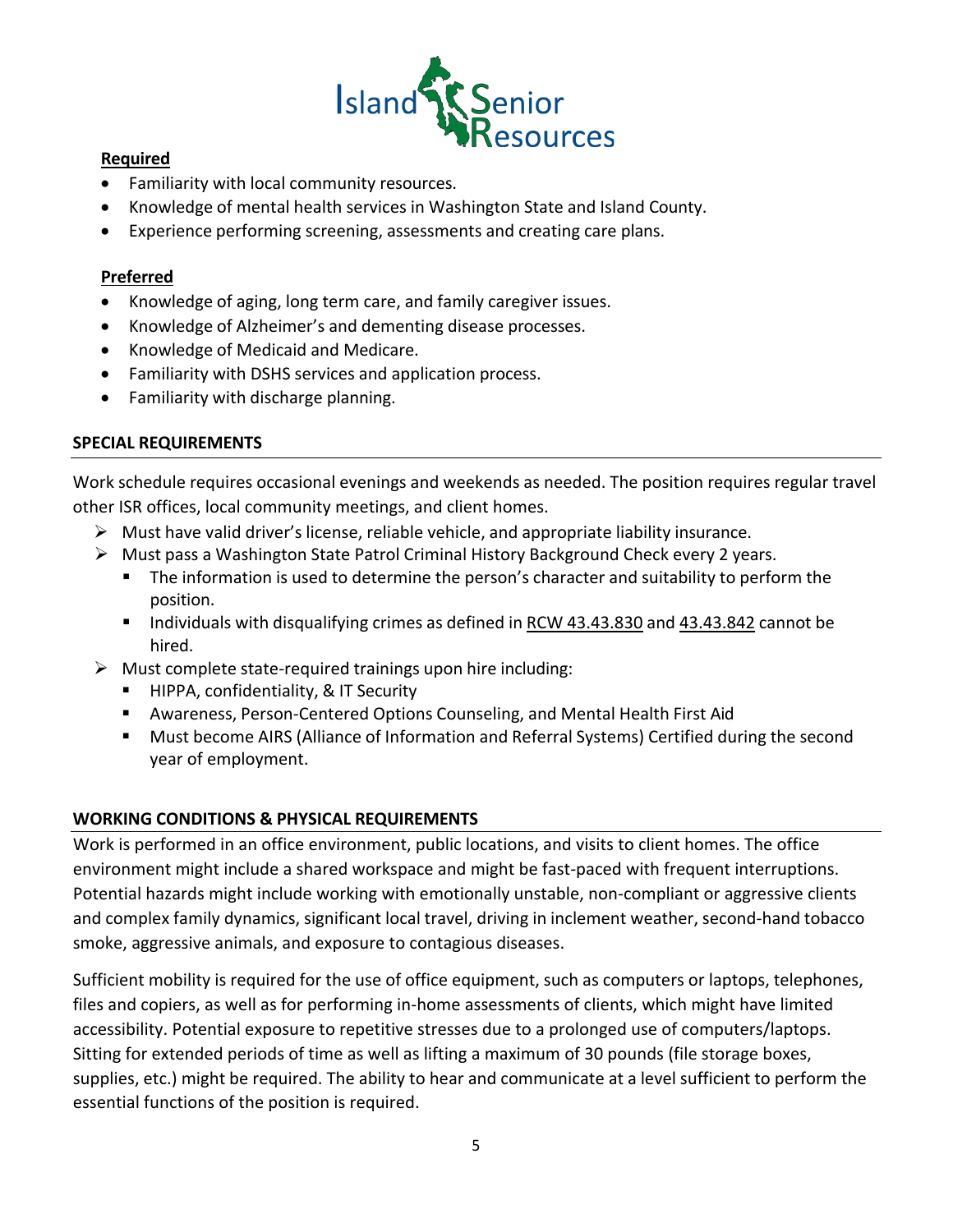

# **Required**

- Familiarity with local community resources.
- Knowledge of mental health services in Washington State and Island County.
- Experience performing screening, assessments and creating care plans.

# **Preferred**

- Knowledge of aging, long term care, and family caregiver issues.
- Knowledge of Alzheimer's and dementing disease processes.
- Knowledge of Medicaid and Medicare.
- Familiarity with DSHS services and application process.
- Familiarity with discharge planning.

# **SPECIAL REQUIREMENTS**

Work schedule requires occasional evenings and weekends as needed. The position requires regular travel other ISR offices, local community meetings, and client homes.

- $\triangleright$  Must have valid driver's license, reliable vehicle, and appropriate liability insurance.
- $\triangleright$  Must pass a Washington State Patrol Criminal History Background Check every 2 years.
	- The information is used to determine the person's character and suitability to perform the position.
	- Individuals with disqualifying crimes as defined in RCW 43.43.830 and 43.43.842 cannot be hired.
- $\triangleright$  Must complete state-required trainings upon hire including:
	- HIPPA, confidentiality, & IT Security
	- Awareness, Person-Centered Options Counseling, and Mental Health First Aid
	- Must become AIRS (Alliance of Information and Referral Systems) Certified during the second year of employment.

# **WORKING CONDITIONS & PHYSICAL REQUIREMENTS**

Work is performed in an office environment, public locations, and visits to client homes. The office environment might include a shared workspace and might be fast-paced with frequent interruptions. Potential hazards might include working with emotionally unstable, non-compliant or aggressive clients and complex family dynamics, significant local travel, driving in inclement weather, second-hand tobacco smoke, aggressive animals, and exposure to contagious diseases.

Sufficient mobility is required for the use of office equipment, such as computers or laptops, telephones, files and copiers, as well as for performing in-home assessments of clients, which might have limited accessibility. Potential exposure to repetitive stresses due to a prolonged use of computers/laptops. Sitting for extended periods of time as well as lifting a maximum of 30 pounds (file storage boxes, supplies, etc.) might be required. The ability to hear and communicate at a level sufficient to perform the essential functions of the position is required.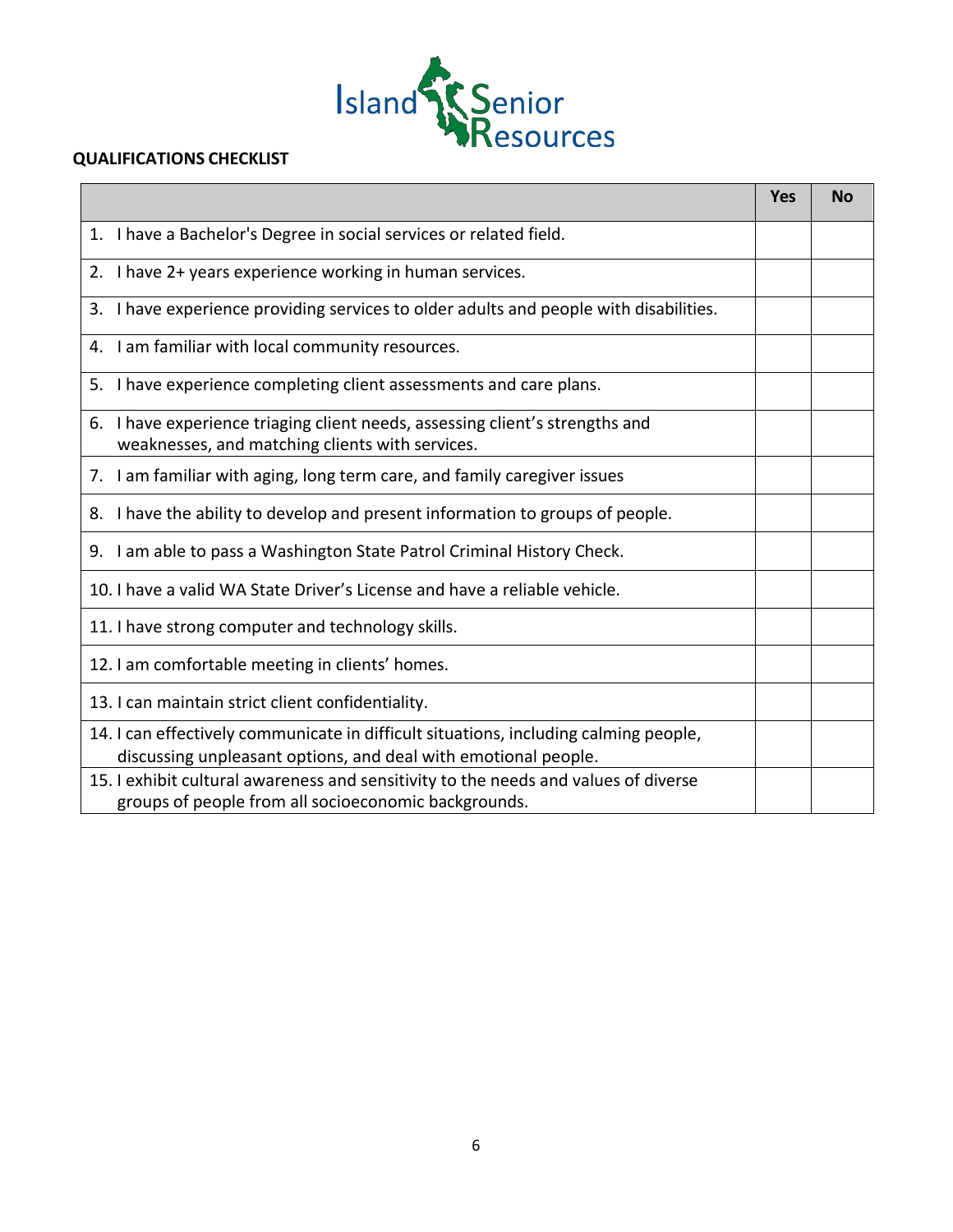

#### **QUALIFICATIONS CHECKLIST**

|                                                                                                                                                        | <b>Yes</b> | <b>No</b> |
|--------------------------------------------------------------------------------------------------------------------------------------------------------|------------|-----------|
| 1. I have a Bachelor's Degree in social services or related field.                                                                                     |            |           |
| 2. I have 2+ years experience working in human services.                                                                                               |            |           |
| I have experience providing services to older adults and people with disabilities.<br>3.                                                               |            |           |
| I am familiar with local community resources.<br>4.                                                                                                    |            |           |
| 5. I have experience completing client assessments and care plans.                                                                                     |            |           |
| 6. I have experience triaging client needs, assessing client's strengths and<br>weaknesses, and matching clients with services.                        |            |           |
| 7. I am familiar with aging, long term care, and family caregiver issues                                                                               |            |           |
| 8. I have the ability to develop and present information to groups of people.                                                                          |            |           |
| 9. I am able to pass a Washington State Patrol Criminal History Check.                                                                                 |            |           |
| 10. I have a valid WA State Driver's License and have a reliable vehicle.                                                                              |            |           |
| 11. I have strong computer and technology skills.                                                                                                      |            |           |
| 12. I am comfortable meeting in clients' homes.                                                                                                        |            |           |
| 13. I can maintain strict client confidentiality.                                                                                                      |            |           |
| 14. I can effectively communicate in difficult situations, including calming people,<br>discussing unpleasant options, and deal with emotional people. |            |           |
| 15. I exhibit cultural awareness and sensitivity to the needs and values of diverse<br>groups of people from all socioeconomic backgrounds.            |            |           |